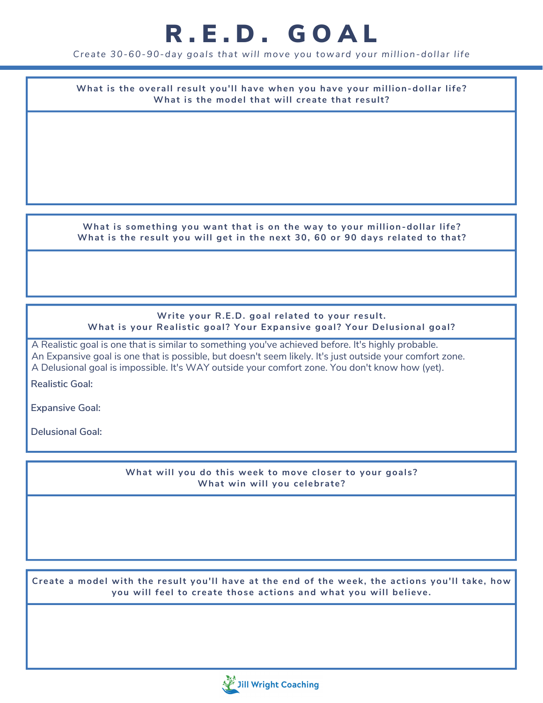## R.E.D. GOAL

*Create 30-60-90-day goals that wi l l move you toward your mi l l ion-dol lar l ife*

**What is the overall result you'll have when you have your million-dollar life? What is the model that will create that result ?**

**What is something you want that is on the way to your million-dollar life? What is the result you will get in the next 30, 60 or 90 days related to that ?**

### **Write your R.E.D. goal related to your result. What is your Realistic goal ? Your Expansive goal ? Your Delusional goal ?**

A Realistic goal is one that is similar to something you've achieved before. It's highly probable. An Expansive goal is one that is possible, but doesn't seem likely. It's just outside your comfort zone. A Delusional goal is impossible. It's WAY outside your comfort zone. You don't know how (yet).

**Realistic Goal:**

**Expansive Goal:**

**Delusional Goal:**

**What will you do this week to move closer to your goals? What win will you celebrate?**

Create a model with the result you'll have at the end of the week, the actions you'll take, how **you will feel to create those actions and what you will believe.**